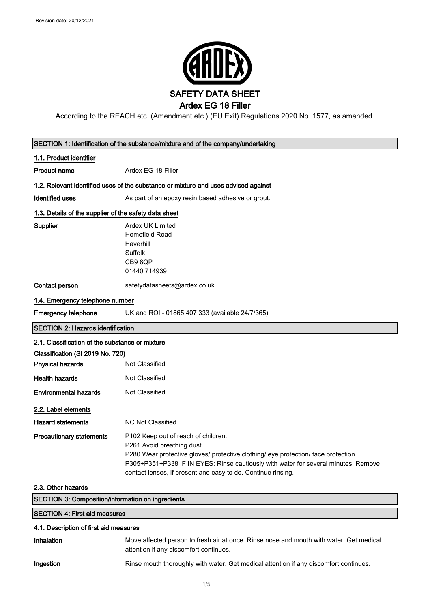

According to the REACH etc. (Amendment etc.) (EU Exit) Regulations 2020 No. 1577, as amended.

| SECTION 1: Identification of the substance/mixture and of the company/undertaking |                                                                                                                                                                                                                                                                                                               |  |
|-----------------------------------------------------------------------------------|---------------------------------------------------------------------------------------------------------------------------------------------------------------------------------------------------------------------------------------------------------------------------------------------------------------|--|
| 1.1. Product identifier                                                           |                                                                                                                                                                                                                                                                                                               |  |
| <b>Product name</b>                                                               | Ardex EG 18 Filler                                                                                                                                                                                                                                                                                            |  |
|                                                                                   | 1.2. Relevant identified uses of the substance or mixture and uses advised against                                                                                                                                                                                                                            |  |
| <b>Identified uses</b>                                                            | As part of an epoxy resin based adhesive or grout.                                                                                                                                                                                                                                                            |  |
| 1.3. Details of the supplier of the safety data sheet                             |                                                                                                                                                                                                                                                                                                               |  |
| <b>Supplier</b>                                                                   | <b>Ardex UK Limited</b><br>Homefield Road<br>Haverhill<br>Suffolk<br>CB98QP<br>01440 714939                                                                                                                                                                                                                   |  |
| Contact person                                                                    | safetydatasheets@ardex.co.uk                                                                                                                                                                                                                                                                                  |  |
| 1.4. Emergency telephone number                                                   |                                                                                                                                                                                                                                                                                                               |  |
| <b>Emergency telephone</b>                                                        | UK and ROI:- 01865 407 333 (available 24/7/365)                                                                                                                                                                                                                                                               |  |
| <b>SECTION 2: Hazards identification</b>                                          |                                                                                                                                                                                                                                                                                                               |  |
| 2.1. Classification of the substance or mixture                                   |                                                                                                                                                                                                                                                                                                               |  |
| Classification (SI 2019 No. 720)                                                  |                                                                                                                                                                                                                                                                                                               |  |
| <b>Physical hazards</b>                                                           | Not Classified                                                                                                                                                                                                                                                                                                |  |
| <b>Health hazards</b>                                                             | Not Classified                                                                                                                                                                                                                                                                                                |  |
| <b>Environmental hazards</b>                                                      | Not Classified                                                                                                                                                                                                                                                                                                |  |
| 2.2. Label elements                                                               |                                                                                                                                                                                                                                                                                                               |  |
| <b>Hazard statements</b>                                                          | <b>NC Not Classified</b>                                                                                                                                                                                                                                                                                      |  |
| <b>Precautionary statements</b>                                                   | P102 Keep out of reach of children.<br>P261 Avoid breathing dust.<br>P280 Wear protective gloves/ protective clothing/ eye protection/ face protection.<br>P305+P351+P338 IF IN EYES: Rinse cautiously with water for several minutes. Remove<br>contact lenses, if present and easy to do. Continue rinsing. |  |
| 2.3. Other hazards                                                                |                                                                                                                                                                                                                                                                                                               |  |
| <b>SECTION 3: Composition/information on ingredients</b>                          |                                                                                                                                                                                                                                                                                                               |  |
| <b>SECTION 4: First aid measures</b>                                              |                                                                                                                                                                                                                                                                                                               |  |
| 4.1. Description of first aid measures                                            |                                                                                                                                                                                                                                                                                                               |  |
| Inhalation                                                                        | Move affected person to fresh air at once. Rinse nose and mouth with water. Get medical<br>attention if any discomfort continues.                                                                                                                                                                             |  |
| Ingestion                                                                         | Rinse mouth thoroughly with water. Get medical attention if any discomfort continues.                                                                                                                                                                                                                         |  |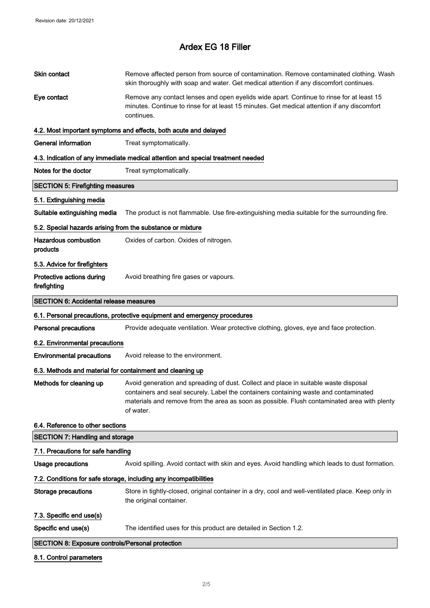ľ

## Ardex EG 18 Filler

| Skin contact                                               | Remove affected person from source of contamination. Remove contaminated clothing. Wash<br>skin thoroughly with soap and water. Get medical attention if any discomfort continues.                                                                                                       |
|------------------------------------------------------------|------------------------------------------------------------------------------------------------------------------------------------------------------------------------------------------------------------------------------------------------------------------------------------------|
| Eye contact                                                | Remove any contact lenses and open eyelids wide apart. Continue to rinse for at least 15<br>minutes. Continue to rinse for at least 15 minutes. Get medical attention if any discomfort<br>continues.                                                                                    |
|                                                            | 4.2. Most important symptoms and effects, both acute and delayed                                                                                                                                                                                                                         |
| <b>General information</b>                                 | Treat symptomatically.                                                                                                                                                                                                                                                                   |
|                                                            | 4.3. Indication of any immediate medical attention and special treatment needed                                                                                                                                                                                                          |
| Notes for the doctor                                       | Treat symptomatically.                                                                                                                                                                                                                                                                   |
| <b>SECTION 5: Firefighting measures</b>                    |                                                                                                                                                                                                                                                                                          |
| 5.1. Extinguishing media                                   |                                                                                                                                                                                                                                                                                          |
| Suitable extinguishing media                               | The product is not flammable. Use fire-extinguishing media suitable for the surrounding fire.                                                                                                                                                                                            |
| 5.2. Special hazards arising from the substance or mixture |                                                                                                                                                                                                                                                                                          |
| <b>Hazardous combustion</b><br>products                    | Oxides of carbon. Oxides of nitrogen.                                                                                                                                                                                                                                                    |
| 5.3. Advice for firefighters                               |                                                                                                                                                                                                                                                                                          |
| Protective actions during<br>firefighting                  | Avoid breathing fire gases or vapours.                                                                                                                                                                                                                                                   |
| <b>SECTION 6: Accidental release measures</b>              |                                                                                                                                                                                                                                                                                          |
|                                                            | 6.1. Personal precautions, protective equipment and emergency procedures                                                                                                                                                                                                                 |
| <b>Personal precautions</b>                                | Provide adequate ventilation. Wear protective clothing, gloves, eye and face protection.                                                                                                                                                                                                 |
| 6.2. Environmental precautions                             |                                                                                                                                                                                                                                                                                          |
| <b>Environmental precautions</b>                           | Avoid release to the environment.                                                                                                                                                                                                                                                        |
| 6.3. Methods and material for containment and cleaning up  |                                                                                                                                                                                                                                                                                          |
| Methods for cleaning up                                    | Avoid generation and spreading of dust. Collect and place in suitable waste disposal<br>containers and seal securely. Label the containers containing waste and contaminated<br>materials and remove from the area as soon as possible. Flush contaminated area with plenty<br>of water. |
| 6.4. Reference to other sections                           |                                                                                                                                                                                                                                                                                          |
| <b>SECTION 7: Handling and storage</b>                     |                                                                                                                                                                                                                                                                                          |
| 7.1. Precautions for safe handling                         |                                                                                                                                                                                                                                                                                          |
| <b>Usage precautions</b>                                   | Avoid spilling. Avoid contact with skin and eyes. Avoid handling which leads to dust formation.                                                                                                                                                                                          |
|                                                            | 7.2. Conditions for safe storage, including any incompatibilities                                                                                                                                                                                                                        |
| <b>Storage precautions</b>                                 | Store in tightly-closed, original container in a dry, cool and well-ventilated place. Keep only in<br>the original container.                                                                                                                                                            |
| 7.3. Specific end use(s)                                   |                                                                                                                                                                                                                                                                                          |
| Specific end use(s)                                        | The identified uses for this product are detailed in Section 1.2.                                                                                                                                                                                                                        |
| <b>SECTION 8: Exposure controls/Personal protection</b>    |                                                                                                                                                                                                                                                                                          |
| 8.1. Control parameters                                    |                                                                                                                                                                                                                                                                                          |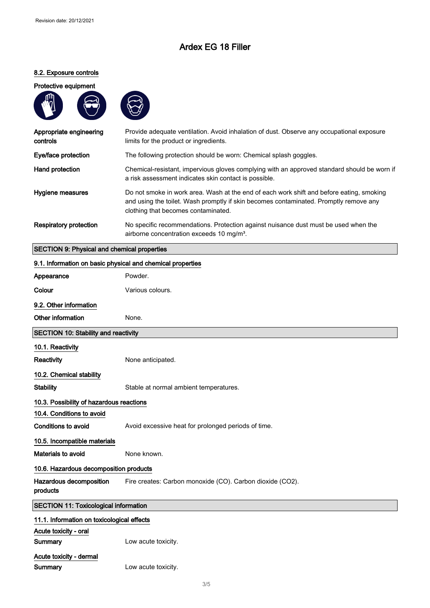## Ardex EG 18 Filler

### 8.2. Exposure controls

#### Protective equipment





| Appropriate engineering<br>controls | Provide adequate ventilation. Avoid inhalation of dust. Observe any occupational exposure<br>limits for the product or ingredients.                                                                                      |
|-------------------------------------|--------------------------------------------------------------------------------------------------------------------------------------------------------------------------------------------------------------------------|
| Eye/face protection                 | The following protection should be worn: Chemical splash goggles.                                                                                                                                                        |
| Hand protection                     | Chemical-resistant, impervious gloves complying with an approved standard should be worn if<br>a risk assessment indicates skin contact is possible.                                                                     |
| Hygiene measures                    | Do not smoke in work area. Wash at the end of each work shift and before eating, smoking<br>and using the toilet. Wash promptly if skin becomes contaminated. Promptly remove any<br>clothing that becomes contaminated. |
| Respiratory protection              | No specific recommendations. Protection against nuisance dust must be used when the<br>airborne concentration exceeds 10 mg/m <sup>3</sup> .                                                                             |

### SECTION 9: Physical and chemical properties

Summary **Low acute toxicity**.

| 9.1. Information on basic physical and chemical properties |                                                           |  |
|------------------------------------------------------------|-----------------------------------------------------------|--|
| Appearance                                                 | Powder.                                                   |  |
| Colour                                                     | Various colours.                                          |  |
| 9.2. Other information                                     |                                                           |  |
| Other information                                          | None.                                                     |  |
| SECTION 10: Stability and reactivity                       |                                                           |  |
| 10.1. Reactivity                                           |                                                           |  |
| Reactivity                                                 | None anticipated.                                         |  |
| 10.2. Chemical stability                                   |                                                           |  |
| <b>Stability</b>                                           | Stable at normal ambient temperatures.                    |  |
| 10.3. Possibility of hazardous reactions                   |                                                           |  |
| 10.4. Conditions to avoid                                  |                                                           |  |
| <b>Conditions to avoid</b>                                 | Avoid excessive heat for prolonged periods of time.       |  |
| 10.5. Incompatible materials                               |                                                           |  |
| Materials to avoid                                         | None known.                                               |  |
|                                                            | 10.6. Hazardous decomposition products                    |  |
| Hazardous decomposition<br>products                        | Fire creates: Carbon monoxide (CO). Carbon dioxide (CO2). |  |
| <b>SECTION 11: Toxicological information</b>               |                                                           |  |
| 11.1. Information on toxicological effects                 |                                                           |  |
| Acute toxicity - oral                                      |                                                           |  |
| Summary                                                    | Low acute toxicity.                                       |  |
| Acute toxicity - dermal                                    |                                                           |  |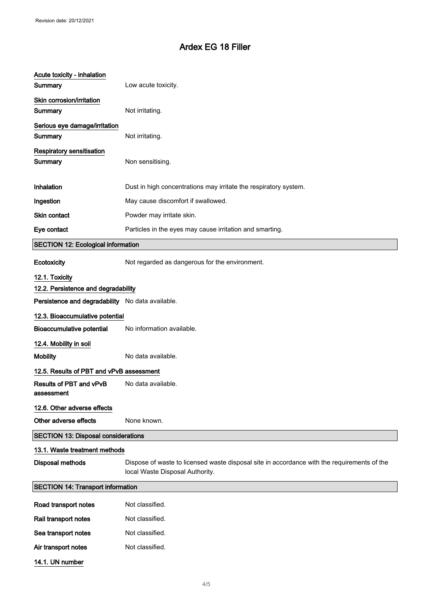# Ardex EG 18 Filler

| Acute toxicity - inhalation<br>Summary           | Low acute toxicity.                                                                                                            |
|--------------------------------------------------|--------------------------------------------------------------------------------------------------------------------------------|
| Skin corrosion/irritation<br>Summary             | Not irritating.                                                                                                                |
| Serious eye damage/irritation<br>Summary         | Not irritating.                                                                                                                |
| <b>Respiratory sensitisation</b><br>Summary      | Non sensitising.                                                                                                               |
| Inhalation                                       | Dust in high concentrations may irritate the respiratory system.                                                               |
| Ingestion                                        | May cause discomfort if swallowed.                                                                                             |
| <b>Skin contact</b>                              | Powder may irritate skin.                                                                                                      |
| Eye contact                                      | Particles in the eyes may cause irritation and smarting.                                                                       |
| <b>SECTION 12: Ecological information</b>        |                                                                                                                                |
| Ecotoxicity                                      | Not regarded as dangerous for the environment.                                                                                 |
| 12.1. Toxicity                                   |                                                                                                                                |
| 12.2. Persistence and degradability              |                                                                                                                                |
| Persistence and degradability No data available. |                                                                                                                                |
|                                                  |                                                                                                                                |
| 12.3. Bioaccumulative potential                  |                                                                                                                                |
| Bioaccumulative potential                        | No information available.                                                                                                      |
| 12.4. Mobility in soil                           |                                                                                                                                |
| <b>Mobility</b>                                  | No data available.                                                                                                             |
| 12.5. Results of PBT and vPvB assessment         |                                                                                                                                |
| Results of PBT and vPvB<br>assessment            | No data available.                                                                                                             |
| 12.6. Other adverse effects                      |                                                                                                                                |
| Other adverse effects                            | None known.                                                                                                                    |
| <b>SECTION 13: Disposal considerations</b>       |                                                                                                                                |
| 13.1. Waste treatment methods                    |                                                                                                                                |
| <b>Disposal methods</b>                          | Dispose of waste to licensed waste disposal site in accordance with the requirements of the<br>local Waste Disposal Authority. |
| <b>SECTION 14: Transport information</b>         |                                                                                                                                |
| Road transport notes                             | Not classified.                                                                                                                |
| Rail transport notes                             | Not classified.                                                                                                                |

14.1. UN number